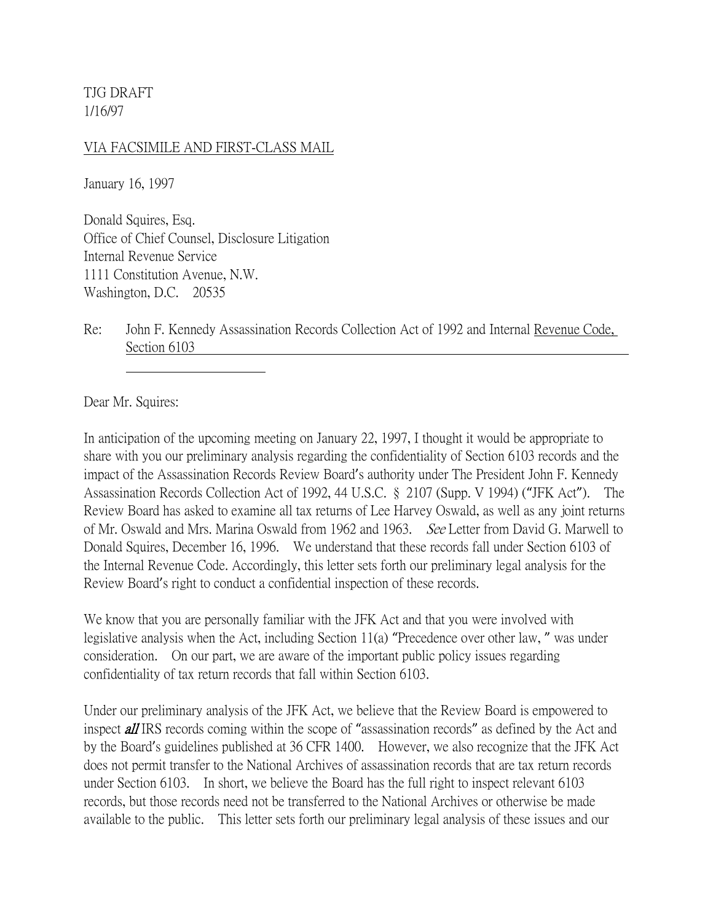TJG DRAFT 1/16/97

## VIA FACSIMILE AND FIRST-CLASS MAIL

January 16, 1997

Donald Squires, Esq. Office of Chief Counsel, Disclosure Litigation Internal Revenue Service 1111 Constitution Avenue, N.W. Washington, D.C. 20535

Re: John F. Kennedy Assassination Records Collection Act of 1992 and Internal Revenue Code, Section 6103

Dear Mr. Squires:

In anticipation of the upcoming meeting on January 22, 1997, I thought it would be appropriate to share with you our preliminary analysis regarding the confidentiality of Section 6103 records and the impact of the Assassination Records Review Board's authority under The President John F. Kennedy Assassination Records Collection Act of 1992, 44 U.S.C. § 2107 (Supp. V 1994) ("JFK Act"). The Review Board has asked to examine all tax returns of Lee Harvey Oswald, as well as any joint returns of Mr. Oswald and Mrs. Marina Oswald from 1962 and 1963. See Letter from David G. Marwell to Donald Squires, December 16, 1996. We understand that these records fall under Section 6103 of the Internal Revenue Code. Accordingly, this letter sets forth our preliminary legal analysis for the Review Board's right to conduct a confidential inspection of these records.

We know that you are personally familiar with the JFK Act and that you were involved with legislative analysis when the Act, including Section 11(a) "Precedence over other law, " was under consideration. On our part, we are aware of the important public policy issues regarding confidentiality of tax return records that fall within Section 6103.

Under our preliminary analysis of the JFK Act, we believe that the Review Board is empowered to inspect **all** IRS records coming within the scope of "assassination records" as defined by the Act and by the Board's guidelines published at 36 CFR 1400. However, we also recognize that the JFK Act does not permit transfer to the National Archives of assassination records that are tax return records under Section 6103. In short, we believe the Board has the full right to inspect relevant 6103 records, but those records need not be transferred to the National Archives or otherwise be made available to the public. This letter sets forth our preliminary legal analysis of these issues and our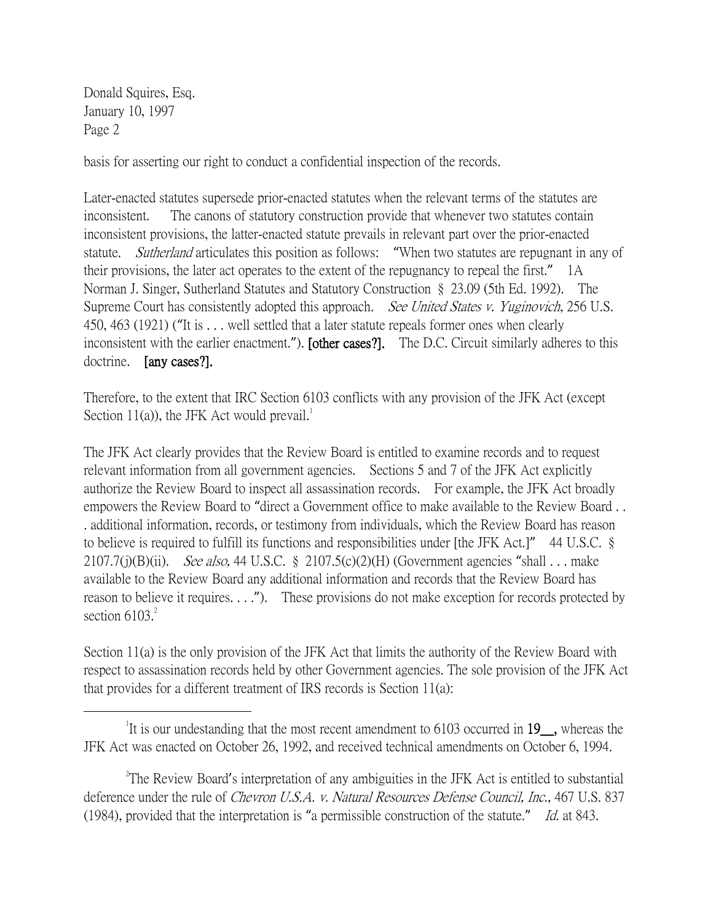Donald Squires, Esq. January 10, 1997 Page 2

 $\overline{a}$ 

basis for asserting our right to conduct a confidential inspection of the records.

Later-enacted statutes supersede prior-enacted statutes when the relevant terms of the statutes are inconsistent. The canons of statutory construction provide that whenever two statutes contain inconsistent provisions, the latter-enacted statute prevails in relevant part over the prior-enacted statute. *Sutherland* articulates this position as follows: "When two statutes are repugnant in any of their provisions, the later act operates to the extent of the repugnancy to repeal the first." 1A Norman J. Singer, Sutherland Statutes and Statutory Construction § 23.09 (5th Ed. 1992). The Supreme Court has consistently adopted this approach. See United States v. Yuginovich, 256 U.S. 450, 463 (1921) ("It is . . . well settled that a later statute repeals former ones when clearly inconsistent with the earlier enactment."). [other cases?]. The D.C. Circuit similarly adheres to this doctrine. [any cases?].

Therefore, to the extent that IRC Section 6103 conflicts with any provision of the JFK Act (except Section 11(a)), the JFK Act would prevail.<sup>1</sup>

The JFK Act clearly provides that the Review Board is entitled to examine records and to request relevant information from all government agencies. Sections 5 and 7 of the JFK Act explicitly authorize the Review Board to inspect all assassination records. For example, the JFK Act broadly empowers the Review Board to "direct a Government office to make available to the Review Board . . . additional information, records, or testimony from individuals, which the Review Board has reason to believe is required to fulfill its functions and responsibilities under [the JFK Act.]" 44 U.S.C. § 2107.7(j)(B)(ii). See also, 44 U.S.C. § 2107.5(c)(2)(H) (Government agencies "shall  $\ldots$  make available to the Review Board any additional information and records that the Review Board has reason to believe it requires. . . ."). These provisions do not make exception for records protected by section  $6103.<sup>2</sup>$ 

Section 11(a) is the only provision of the JFK Act that limits the authority of the Review Board with respect to assassination records held by other Government agencies. The sole provision of the JFK Act that provides for a different treatment of IRS records is Section 11(a):

<sup>&</sup>lt;sup>1</sup>It is our undestanding that the most recent amendment to 6103 occurred in 19<sub>\_\_</sub>, whereas the JFK Act was enacted on October 26, 1992, and received technical amendments on October 6, 1994.

<sup>&</sup>lt;sup>2</sup>The Review Board's interpretation of any ambiguities in the JFK Act is entitled to substantial deference under the rule of *Chevron U.S.A. v. Natural Resources Defense Council, Inc.*, 467 U.S. 837 (1984), provided that the interpretation is "a permissible construction of the statute." Id. at 843.